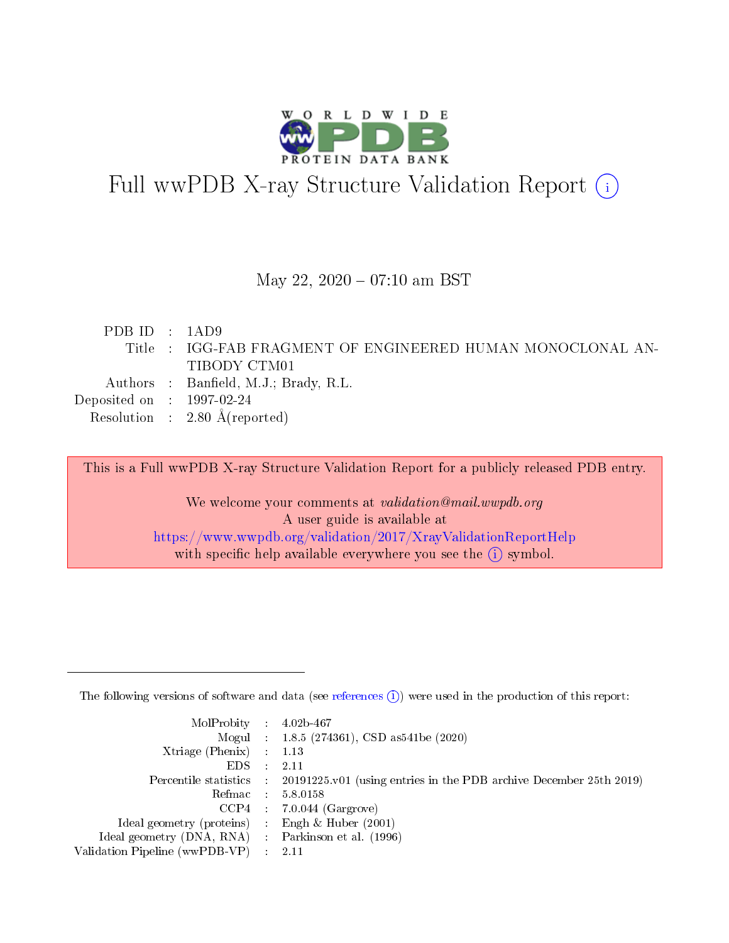

# Full wwPDB X-ray Structure Validation Report (i)

#### May 22,  $2020 - 07:10$  am BST

| PDBID : 1AD9                |                                                             |
|-----------------------------|-------------------------------------------------------------|
|                             | Title : IGG-FAB FRAGMENT OF ENGINEERED HUMAN MONOCLONAL AN- |
|                             | TIBODY CTM01                                                |
|                             | Authors : Banfield, M.J.; Brady, R.L.                       |
| Deposited on : $1997-02-24$ |                                                             |
|                             | Resolution : $2.80 \text{ Å}$ (reported)                    |
|                             |                                                             |

This is a Full wwPDB X-ray Structure Validation Report for a publicly released PDB entry.

We welcome your comments at validation@mail.wwpdb.org A user guide is available at <https://www.wwpdb.org/validation/2017/XrayValidationReportHelp> with specific help available everywhere you see the  $(i)$  symbol.

The following versions of software and data (see [references](https://www.wwpdb.org/validation/2017/XrayValidationReportHelp#references)  $(1)$ ) were used in the production of this report:

| $MolProbability$ : 4.02b-467                      |                              |                                                                                            |
|---------------------------------------------------|------------------------------|--------------------------------------------------------------------------------------------|
|                                                   |                              | Mogul : $1.8.5$ (274361), CSD as 541be (2020)                                              |
| Xtriage (Phenix) $: 1.13$                         |                              |                                                                                            |
| EDS –                                             | $\sim$                       | -2.11                                                                                      |
|                                                   |                              | Percentile statistics : 20191225.v01 (using entries in the PDB archive December 25th 2019) |
| Refmac : 5.8.0158                                 |                              |                                                                                            |
| CCP4                                              |                              | $7.0.044$ (Gargrove)                                                                       |
| Ideal geometry (proteins)                         | $\mathcal{L}_{\mathrm{eff}}$ | Engh & Huber $(2001)$                                                                      |
| Ideal geometry (DNA, RNA) Parkinson et al. (1996) |                              |                                                                                            |
| Validation Pipeline (wwPDB-VP) : 2.11             |                              |                                                                                            |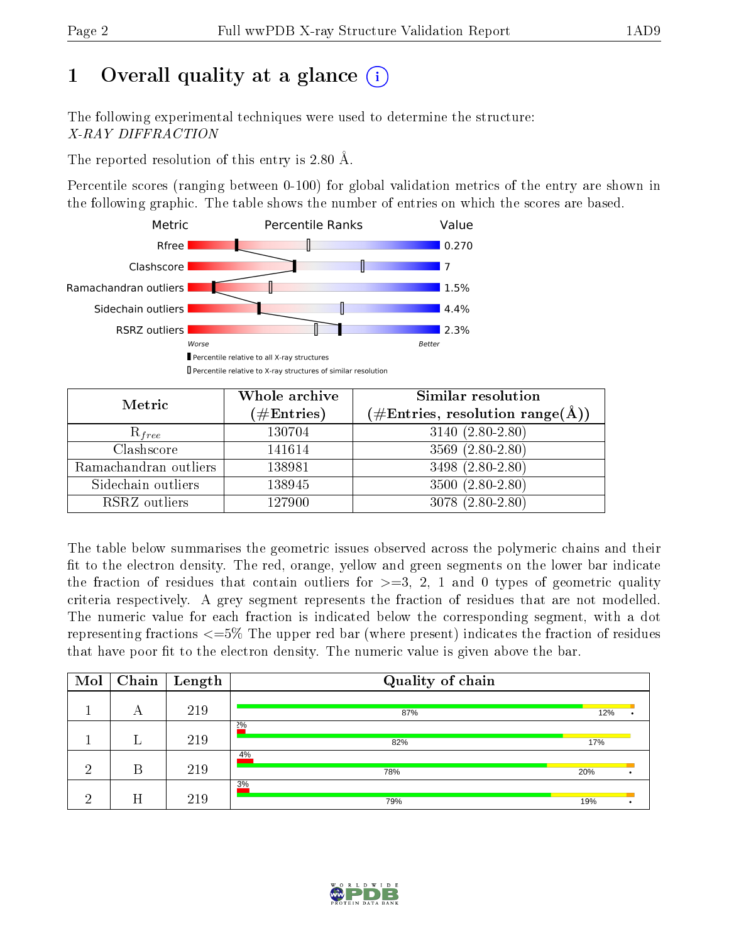# 1 [O](https://www.wwpdb.org/validation/2017/XrayValidationReportHelp#overall_quality)verall quality at a glance  $(i)$

The following experimental techniques were used to determine the structure: X-RAY DIFFRACTION

The reported resolution of this entry is 2.80 Å.

Percentile scores (ranging between 0-100) for global validation metrics of the entry are shown in the following graphic. The table shows the number of entries on which the scores are based.



| Metric                | Whole archive<br>$(\#\text{Entries})$ | Similar resolution<br>$(\#\text{Entries},\,\text{resolution}\,\,\text{range}(\textup{\AA}))$ |
|-----------------------|---------------------------------------|----------------------------------------------------------------------------------------------|
| $R_{free}$            | 130704                                | $3140 (2.80 - 2.80)$                                                                         |
| Clashscore            | 141614                                | $3569(2.80-2.80)$                                                                            |
| Ramachandran outliers | 138981                                | 3498 (2.80-2.80)                                                                             |
| Sidechain outliers    | 138945                                | $3500(2.80-2.80)$                                                                            |
| RSRZ outliers         | 127900                                | $3078(2.80-2.80)$                                                                            |

The table below summarises the geometric issues observed across the polymeric chains and their fit to the electron density. The red, orange, yellow and green segments on the lower bar indicate the fraction of residues that contain outliers for  $>=3, 2, 1$  and 0 types of geometric quality criteria respectively. A grey segment represents the fraction of residues that are not modelled. The numeric value for each fraction is indicated below the corresponding segment, with a dot representing fractions  $\epsilon=5\%$  The upper red bar (where present) indicates the fraction of residues that have poor fit to the electron density. The numeric value is given above the bar.

| Mol | Chain | $\sqrt{\frac{1}{2}}$ Length | Quality of chain |     |  |
|-----|-------|-----------------------------|------------------|-----|--|
|     | А     | 219                         | 87%              | 12% |  |
|     |       | 219                         | 2%<br>82%        | 17% |  |
| ച   | В     | 219                         | 4%<br>78%        | 20% |  |
| ച   | Η     | 219                         | 3%<br>79%        | 19% |  |

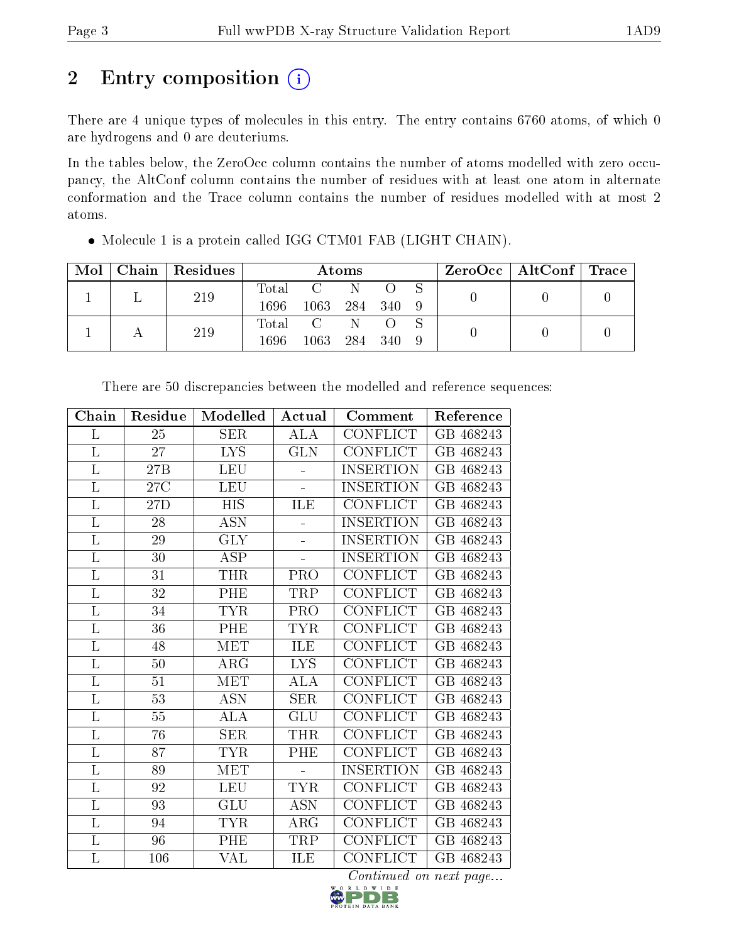# 2 Entry composition  $\left( \cdot \right)$

There are 4 unique types of molecules in this entry. The entry contains 6760 atoms, of which 0 are hydrogens and 0 are deuteriums.

In the tables below, the ZeroOcc column contains the number of atoms modelled with zero occupancy, the AltConf column contains the number of residues with at least one atom in alternate conformation and the Trace column contains the number of residues modelled with at most 2 atoms.

| Mol | Chain   Residues | Atoms |                |                                 |         |  |  | $\rm{ZeroOcc}$   Alt $\rm{Conf}$   Trace |  |
|-----|------------------|-------|----------------|---------------------------------|---------|--|--|------------------------------------------|--|
|     | 219              | Total | $\mathbb{C}$   | N                               |         |  |  |                                          |  |
|     |                  | 1696. | 1063           | 284 340                         |         |  |  |                                          |  |
|     | 219              | Total | $\overline{C}$ | $\mathbb{N}$ . The $\mathbb{N}$ |         |  |  |                                          |  |
|     |                  | 1696  | 1063           |                                 | 284 340 |  |  |                                          |  |

Molecule 1 is a protein called IGG CTM01 FAB (LIGHT CHAIN).

| Chain    | Residue         | Modelled             | Actual     | Comment          | Reference          |
|----------|-----------------|----------------------|------------|------------------|--------------------|
| L        | 25              | <b>SER</b>           | <b>ALA</b> | CONFLICT         | GB 468243          |
| L        | 27              | <b>LYS</b>           | <b>GLN</b> | CONFLICT         | GB 468243          |
| L        | 27B             | <b>LEU</b>           |            | <b>INSERTION</b> | GB 468243          |
| L        | 27C             | LEU                  | Ξ.         | <b>INSERTION</b> | 468243<br>GВ       |
| L        | 27D             | <b>HIS</b>           | ILE        | CONFLICT         | 468243<br>$\rm GB$ |
| L        | 28              | $\operatorname{ASN}$ |            | INSERTION        | 468243<br>GВ       |
| L        | 29              | <b>GLY</b>           | ÷          | <b>INSERTION</b> | GB 468243          |
| L        | 30              | <b>ASP</b>           |            | INSERTION        | GВ<br>468243       |
| L        | $31\,$          | THR                  | <b>PRO</b> | CONFLICT         | GB 468243          |
| L        | $\overline{32}$ | PHE                  | TRP        | CONFLICT         | $\rm GB$<br>468243 |
| L        | 34              | <b>TYR</b>           | <b>PRO</b> | <b>CONFLICT</b>  | GB 468243          |
| L        | 36              | PHE                  | <b>TYR</b> | <b>CONFLICT</b>  | GB 468243          |
| L        | 48              | MET                  | ILE        | CONFLICT         | $\rm GB$<br>468243 |
| L        | 50              | $\rm{ARG}$           | <b>LYS</b> | <b>CONFLICT</b>  | $\rm GB$<br>468243 |
| L        | 51              | MET                  | ALA        | CONFLICT         | 468243<br>GВ       |
| $\Gamma$ | 53              | <b>ASN</b>           | <b>SER</b> | CONFLICT         | GB 468243          |
| $\Gamma$ | $55\,$          | $\overline{\rm ALA}$ | <b>GLU</b> | <b>CONFLICT</b>  | $\rm GB$<br>468243 |
| L        | 76              | <b>SER</b>           | THR        | <b>CONFLICT</b>  | $\rm GB$<br>468243 |
| $\Gamma$ | 87              | <b>TYR</b>           | PHE        | CONFLICT         | $\rm GB$<br>468243 |
| L        | 89              | MET                  |            | <b>INSERTION</b> | GB 468243          |
| L        | 92              | <b>LEU</b>           | <b>TYR</b> | CONFLICT         | GB 468243          |
| L        | 93              | GLU                  | <b>ASN</b> | CONFLICT         | 468243<br>$\rm GB$ |
| L        | 94              | <b>TYR</b>           | $\rm{ARG}$ | CONFLICT         | 468243<br>GВ       |
| L        | 96              | PHE                  | TRP        | <b>CONFLICT</b>  | $\rm GB$<br>468243 |
| L        | 106             | VAL                  | ILE        | CONFLICT         | GB 468243          |

There are 50 discrepancies between the modelled and reference sequences:

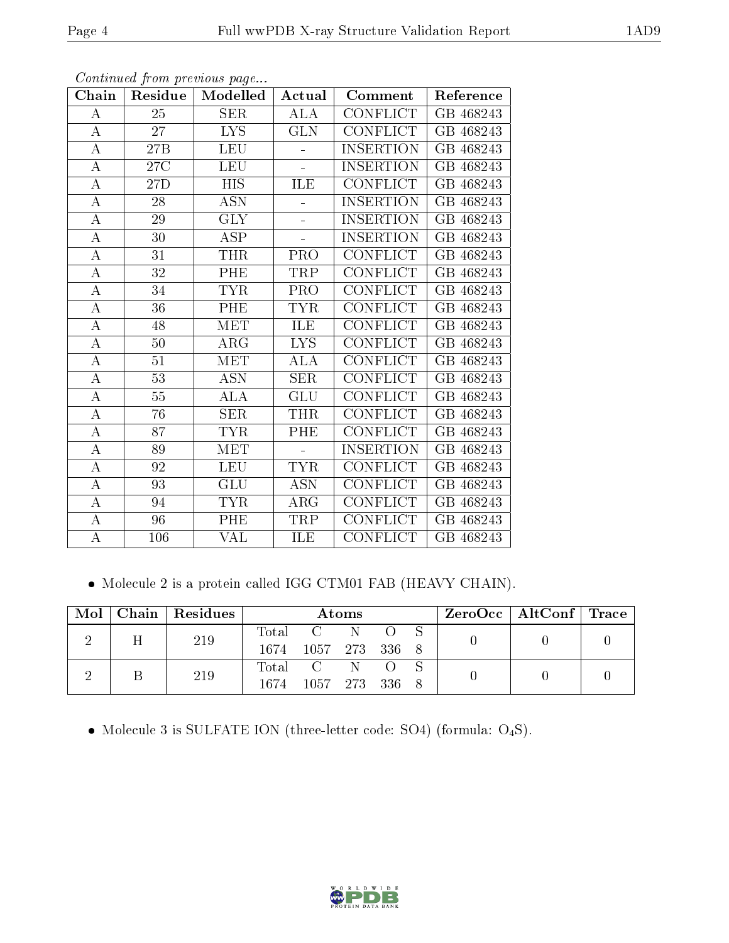| Chain            | Residue        | Modelled         | Actual     | Comment          | Reference          |
|------------------|----------------|------------------|------------|------------------|--------------------|
| А                | 25             | SER              | ALA        | <b>CONFLICT</b>  | GB 468243          |
| $\bf{A}$         | 27             | LYS.             | <b>GLN</b> | <b>CONFLICT</b>  | GB 468243          |
| $\boldsymbol{A}$ | 27B            | <b>LEU</b>       |            | <b>INSERTION</b> | $\rm GB$<br>468243 |
| $\bf{A}$         | $27\mathrm{C}$ | <b>LEU</b>       | ÷,         | <b>INSERTION</b> | $\rm GB$<br>468243 |
| $\bf{A}$         | 27D            | $\overline{HIS}$ | <b>ILE</b> | <b>CONFLICT</b>  | GB 468243          |
| $\bf{A}$         | 28             | ASN              |            | <b>INSERTION</b> | GB 468243          |
| $\bf{A}$         | 29             | <b>GLY</b>       | L,         | <b>INSERTION</b> | GB 468243          |
| A                | $30\,$         | ASP              |            | <b>INSERTION</b> | GB 468243          |
| A                | 31             | <b>THR</b>       | <b>PRO</b> | <b>CONFLICT</b>  | GB 468243          |
| $\overline{A}$   | 32             | PHE              | TRP        | CONFLICT         | 468243<br>$\rm GB$ |
| $\bf{A}$         | 34             | <b>TYR</b>       | PRO        | CONFLICT         | 468243<br>$\rm GB$ |
| $\overline{A}$   | 36             | PHE              | <b>TYR</b> | CONFLICT         | GВ<br>468243       |
| $\bf{A}$         | 48             | MET              | ILE        | CONFLICT         | GB 468243          |
| $\bf{A}$         | 50             | ARG              | <b>LYS</b> | <b>CONFLICT</b>  | GB 468243          |
| $\boldsymbol{A}$ | 51             | <b>MET</b>       | <b>ALA</b> | <b>CONFLICT</b>  | GB 468243          |
| $\bf{A}$         | 53             | <b>ASN</b>       | <b>SER</b> | <b>CONFLICT</b>  | GB 468243          |
| $\boldsymbol{A}$ | $55\,$         | <b>ALA</b>       | <b>GLU</b> | <b>CONFLICT</b>  | GB 468243          |
| $\boldsymbol{A}$ | 76             | <b>SER</b>       | <b>THR</b> | CONFLICT         | 468243<br>GВ       |
| $\boldsymbol{A}$ | 87             | <b>TYR</b>       | PHE        | <b>CONFLICT</b>  | 468243<br>GВ       |
| $\bf{A}$         | 89             | MET              |            | <b>INSERTION</b> | GB 468243          |
| $\bf{A}$         | 92             | <b>LEU</b>       | <b>TYR</b> | <b>CONFLICT</b>  | GB 468243          |
| $\boldsymbol{A}$ | 93             | <b>GLU</b>       | <b>ASN</b> | <b>CONFLICT</b>  | GB 468243          |
| $\bf{A}$         | 94             | <b>TYR</b>       | $\rm{ARG}$ | <b>CONFLICT</b>  | GB 468243          |
| $\boldsymbol{A}$ | 96             | PHE              | TRP        | CONFLICT         | GB 468243          |
| $\overline{A}$   | 106            | VAL              | ILE        | <b>CONFLICT</b>  | GB 468243          |

Molecule 2 is a protein called IGG CTM01 FAB (HEAVY CHAIN).

|   | $\text{Mol}$   Chain   Residues | Atoms |                     |  |  | $\text{ZeroOcc} \mid \text{AltConf} \mid \text{Trace}$ |  |  |  |
|---|---------------------------------|-------|---------------------|--|--|--------------------------------------------------------|--|--|--|
| Η | 219                             |       | Total C N O S       |  |  |                                                        |  |  |  |
|   |                                 |       | 1674 1057 273 336 8 |  |  |                                                        |  |  |  |
|   | 219                             |       | Total C N O S       |  |  |                                                        |  |  |  |
|   |                                 |       | 1674 1057 273 336 8 |  |  |                                                        |  |  |  |

 $\bullet$  Molecule 3 is SULFATE ION (three-letter code: SO4) (formula:  $\mathrm{O}_4\mathrm{S}) .$ 

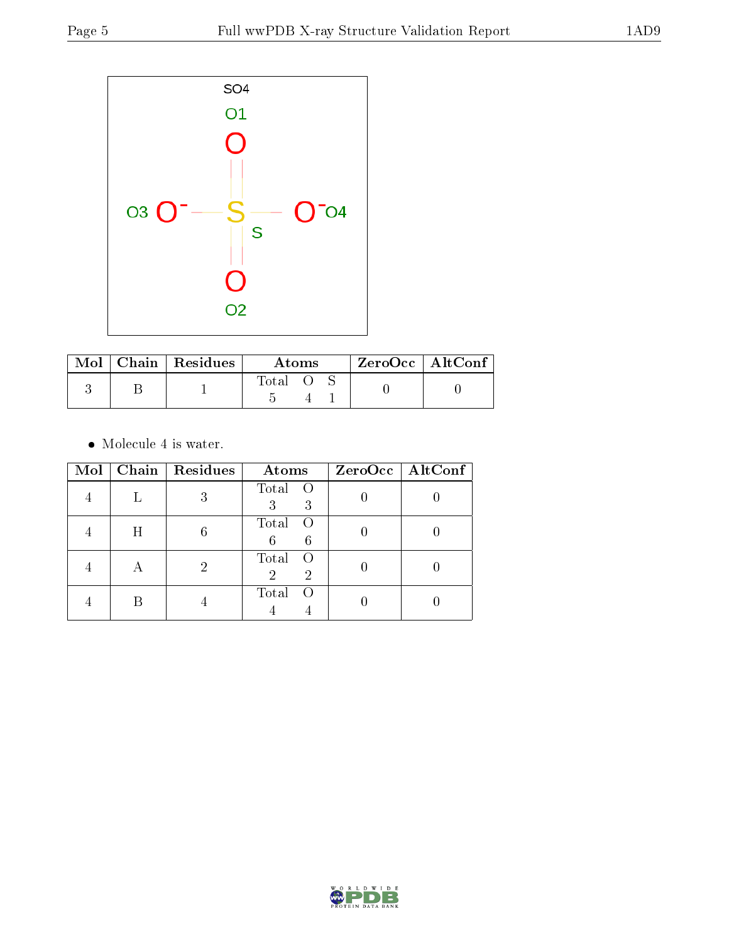

|  | Mol   Chain   Residues | Atoms |  |  | $ZeroOcc$   AltConf |
|--|------------------------|-------|--|--|---------------------|
|  |                        | Total |  |  |                     |

 $\bullet\,$  Molecule 4 is water.

| Mol |   | Chain   Residues | Atoms                                                  | ZeroOcc   AltConf |
|-----|---|------------------|--------------------------------------------------------|-------------------|
|     |   | 3                | Total O<br>3<br>3                                      |                   |
|     | H |                  | Total<br>$\circ$ O<br>6<br>6                           |                   |
|     |   |                  | Total<br>$\circ$ O<br>$\overline{2}$<br>$\overline{2}$ |                   |
|     |   |                  | Total<br>$\left( \right)$                              |                   |

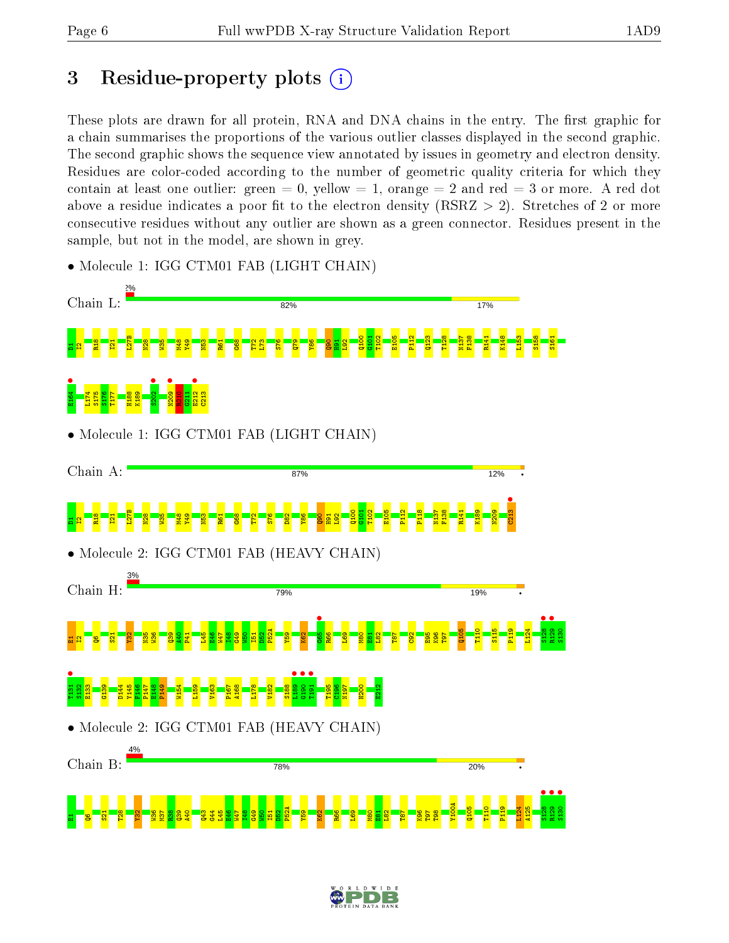# 3 Residue-property plots  $(i)$

These plots are drawn for all protein, RNA and DNA chains in the entry. The first graphic for a chain summarises the proportions of the various outlier classes displayed in the second graphic. The second graphic shows the sequence view annotated by issues in geometry and electron density. Residues are color-coded according to the number of geometric quality criteria for which they contain at least one outlier: green  $= 0$ , yellow  $= 1$ , orange  $= 2$  and red  $= 3$  or more. A red dot above a residue indicates a poor fit to the electron density (RSRZ  $> 2$ ). Stretches of 2 or more consecutive residues without any outlier are shown as a green connector. Residues present in the sample, but not in the model, are shown in grey.



• Molecule 1: IGG CTM01 FAB (LIGHT CHAIN)

• Molecule 2: IGG CTM01 FAB (HEAVY CHAIN)



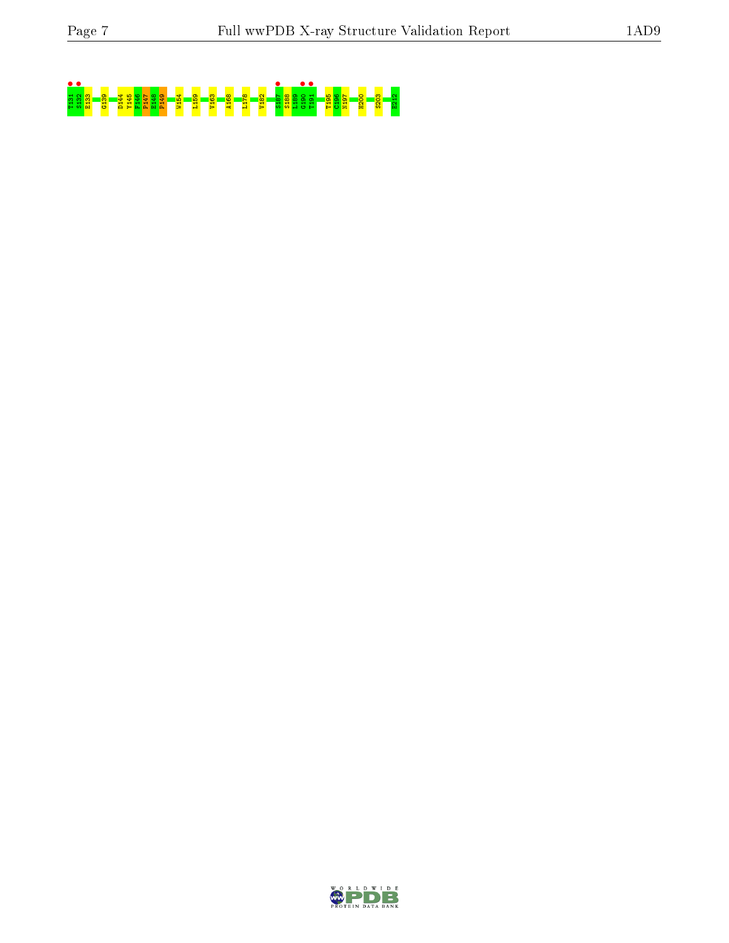# T131 • S132 • E133 G139 D144 Y145 F146 P147 E148 P149 W154 L159 V163 A168 L178 V182 S187 • S188 L189 G190 • T191 • T195 C196 N197 H200 S203 E212

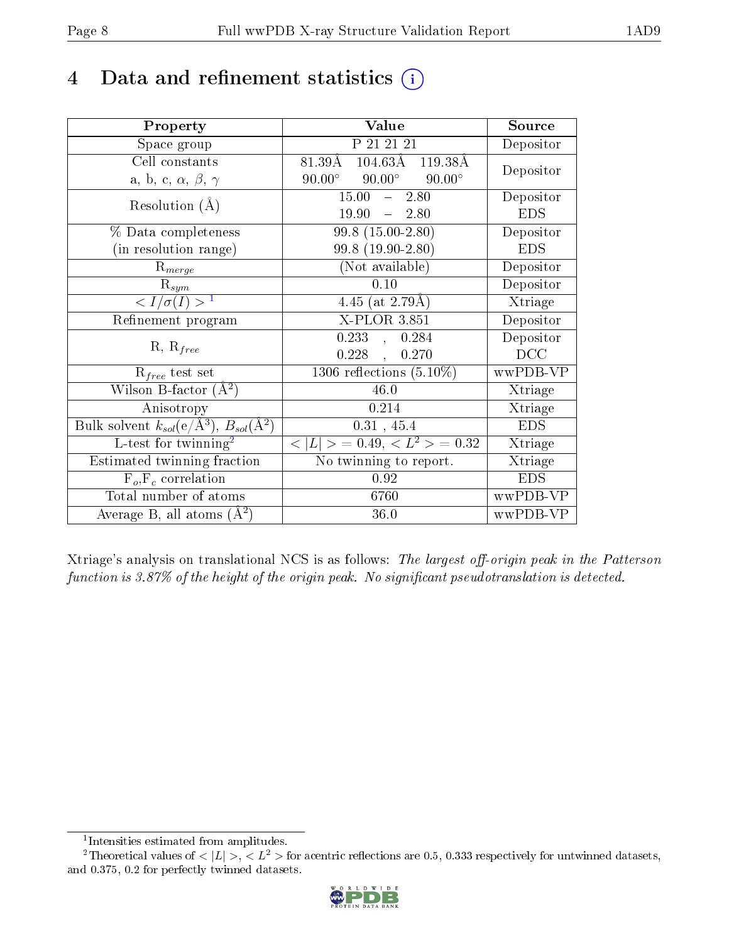# 4 Data and refinement statistics  $(i)$

| Property                                                         | Value                                            | Source     |
|------------------------------------------------------------------|--------------------------------------------------|------------|
| Space group                                                      | P 21 21 21                                       | Depositor  |
| Cell constants                                                   | $104.63\text{\AA}$ 119.38 Å<br>$81.39\text{\AA}$ | Depositor  |
| a, b, c, $\alpha$ , $\beta$ , $\gamma$                           | $90.00^\circ$<br>$90.00^\circ$<br>$90.00^\circ$  |            |
| Resolution $(A)$                                                 | 15.00<br>2.80<br>$\frac{1}{2}$                   | Depositor  |
|                                                                  | $-2.80$<br>19.90                                 | <b>EDS</b> |
| % Data completeness                                              | $99.8(15.00-2.80)$                               | Depositor  |
| (in resolution range)                                            | 99.8 (19.90-2.80)                                | <b>EDS</b> |
| $R_{merge}$                                                      | (Not available)                                  | Depositor  |
| $\mathrm{R}_{sym}$                                               | 0.10                                             | Depositor  |
| $\langle I/\sigma(I) \rangle^{-1}$                               | 4.45 (at $2.79\text{\AA})$                       | Xtriage    |
| Refinement program                                               | $X$ -PLOR 3.851                                  | Depositor  |
|                                                                  | 0.233<br>0.284<br>$\sim$                         | Depositor  |
| $R, R_{free}$                                                    | $0.228$ ,<br>0.270                               | DCC        |
| $R_{free}$ test set                                              | 1306 reflections $(5.10\%)$                      | wwPDB-VP   |
| Wilson B-factor $(A^2)$                                          | 46.0                                             | Xtriage    |
| Anisotropy                                                       | 0.214                                            | Xtriage    |
| Bulk solvent $k_{sol}(\text{e}/\text{A}^3), B_{sol}(\text{A}^2)$ | 0.31, 45.4                                       | <b>EDS</b> |
| L-test for $\mathrm{twinning}^2$                                 | $< L >$ = 0.49, $< L^2 >$ = 0.32                 | Xtriage    |
| Estimated twinning fraction                                      | No twinning to report.                           | Xtriage    |
| $F_o, F_c$ correlation                                           | 0.92                                             | <b>EDS</b> |
| Total number of atoms                                            | 6760                                             | wwPDB-VP   |
| Average B, all atoms $(A^2)$                                     | 36.0                                             | wwPDB-VP   |

Xtriage's analysis on translational NCS is as follows: The largest off-origin peak in the Patterson function is  $3.87\%$  of the height of the origin peak. No significant pseudotranslation is detected.

<sup>&</sup>lt;sup>2</sup>Theoretical values of  $\langle |L| \rangle$ ,  $\langle L^2 \rangle$  for acentric reflections are 0.5, 0.333 respectively for untwinned datasets, and 0.375, 0.2 for perfectly twinned datasets.



<span id="page-7-1"></span><span id="page-7-0"></span><sup>1</sup> Intensities estimated from amplitudes.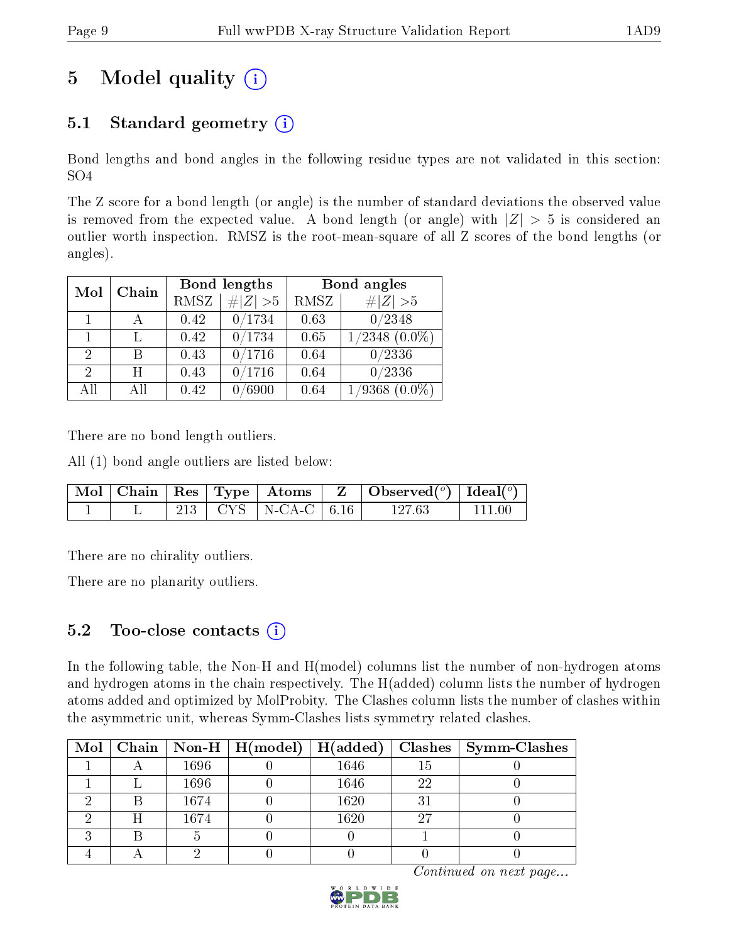# 5 Model quality  $(i)$

## 5.1 Standard geometry  $(i)$

Bond lengths and bond angles in the following residue types are not validated in this section: SO4

The Z score for a bond length (or angle) is the number of standard deviations the observed value is removed from the expected value. A bond length (or angle) with  $|Z| > 5$  is considered an outlier worth inspection. RMSZ is the root-mean-square of all Z scores of the bond lengths (or angles).

|     |       |             | Bond lengths  | Bond angles |                            |  |
|-----|-------|-------------|---------------|-------------|----------------------------|--|
| Mol | Chain | <b>RMSZ</b> | $\# Z  > 5$   | RMSZ        | # $ Z >5$                  |  |
|     |       | 0.42        | 0/1734        | 0.63        | 0/2348                     |  |
|     |       | 0.42        | 0/1734        | 0.65        | $/2348~(0.0\%)$            |  |
| 2   | В     | 0.43        | 0/1716        | 0.64        | 0/2336                     |  |
| 2   | H     | 0.43        | 0/1716        | 0.64        | 0/2336                     |  |
| All | Αll   | 0.42        | $\sqrt{6900}$ | 0.64        | $^\prime9368$<br>$(0.0\%)$ |  |

There are no bond length outliers.

All (1) bond angle outliers are listed below:

|  |  |                           | $\mid$ Mol $\mid$ Chain $\mid$ Res $\mid$ Type $\mid$ Atoms $\mid$ Z $\mid$ Observed( <sup>o</sup> ) $\mid$ Ideal( <sup>o</sup> ) |                |
|--|--|---------------------------|-----------------------------------------------------------------------------------------------------------------------------------|----------------|
|  |  | 213   CYS   N-CA-C   6.16 | 127.63                                                                                                                            | $+$ 111 00 $-$ |

There are no chirality outliers.

There are no planarity outliers.

## 5.2 Too-close contacts  $(i)$

In the following table, the Non-H and H(model) columns list the number of non-hydrogen atoms and hydrogen atoms in the chain respectively. The H(added) column lists the number of hydrogen atoms added and optimized by MolProbity. The Clashes column lists the number of clashes within the asymmetric unit, whereas Symm-Clashes lists symmetry related clashes.

|  |      | Mol   Chain   Non-H   $H (model)$   $H (added)$ |      |     | $\mid$ Clashes $\mid$ Symm-Clashes |
|--|------|-------------------------------------------------|------|-----|------------------------------------|
|  | 1696 |                                                 | 1646 | 15  |                                    |
|  | 1696 |                                                 | 1646 | 22  |                                    |
|  | 1674 |                                                 | 1620 | 31  |                                    |
|  | 1674 |                                                 | 1620 | -27 |                                    |
|  |      |                                                 |      |     |                                    |
|  |      |                                                 |      |     |                                    |

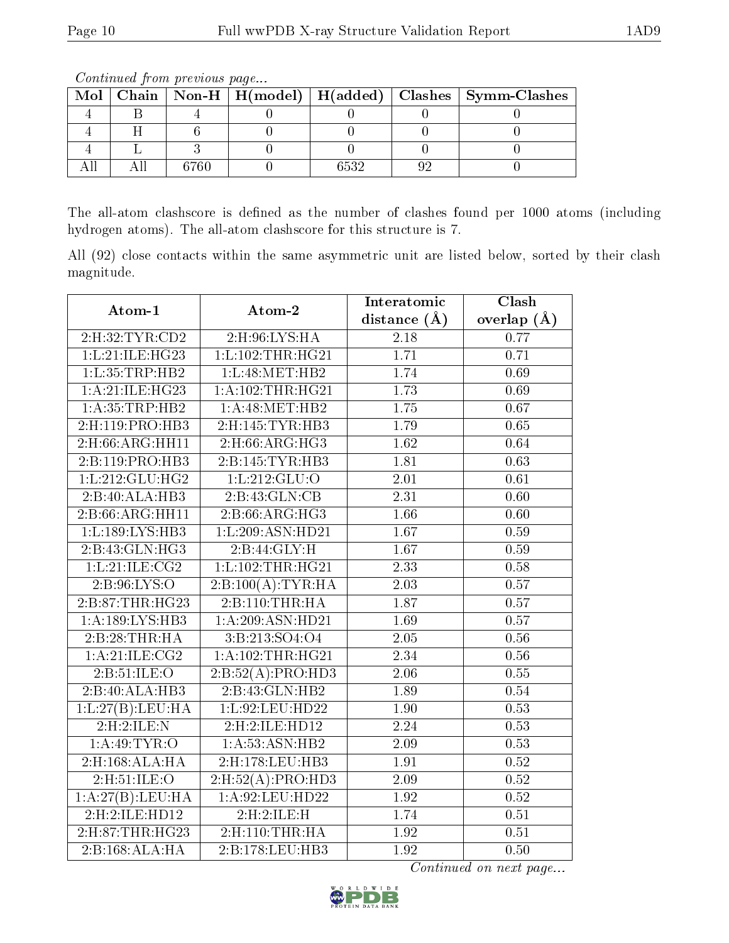|  |      |      | Mol   Chain   Non-H   H(model)   H(added)   Clashes   Symm-Clashes |
|--|------|------|--------------------------------------------------------------------|
|  |      |      |                                                                    |
|  |      |      |                                                                    |
|  |      |      |                                                                    |
|  | 6760 | 2529 |                                                                    |

The all-atom clashscore is defined as the number of clashes found per 1000 atoms (including hydrogen atoms). The all-atom clashscore for this structure is 7.

All (92) close contacts within the same asymmetric unit are listed below, sorted by their clash magnitude.

| Atom-1              | Atom-2                                     | Interatomic       | Clash           |
|---------------------|--------------------------------------------|-------------------|-----------------|
|                     |                                            | distance $(A)$    | overlap $(\AA)$ |
| 2: H:32: TYR: CD2   | $2:$ H:96:LYS:HA                           | $\overline{2.18}$ | 0.77            |
| 1:L:21:ILE:HG23     | 1: L: 102: THR: HG21                       | 1.71              | 0.71            |
| 1: L: 35: TRP: HB2  | 1:L:48:MET:HB2                             | 1.74              | 0.69            |
| 1:A:21:ILE:HG23     | 1: A:102:THR:HG21                          | 1.73              | 0.69            |
| 1: A: 35: TRP: HB2  | 1: A:48: MET:HB2                           | $\overline{1.75}$ | 0.67            |
| 2:H:119:PRO:HB3     | 2:H:145:TYR:HB3                            | 1.79              | 0.65            |
| 2:H:66:ARG:HH11     | 2:H:66:ARG:HG3                             | 1.62              | 0.64            |
| 2:B:119:PRO:HB3     | 2:B:145:TYR:HB3                            | 1.81              | 0.63            |
| 1: L: 212: GLU: HG2 | 1:L:212:GLU:O                              | 2.01              | 0.61            |
| 2:B:40:ALA:HB3      | 2:B:43:GLN:CB                              | 2.31              | 0.60            |
| 2:B:66:ARG:HH11     | $2: B:66: \overline{\text{AG}:H\text{G}3}$ | 1.66              | 0.60            |
| 1:L:189:LYS:HB3     | 1:L:209:ASN:HD21                           | 1.67              | 0.59            |
| 2: B: 43: GLN: HG3  | 2:B:44:GLY:H                               | $\overline{1.67}$ | 0.59            |
| 1:L:21:ILE:CG2      | 1: L: 102: THR: HG21                       | 2.33              | 0.58            |
| 2:B:96:LYS:O        | 2:B:100(A):TYR:HA                          | 2.03              | 0.57            |
| 2:B:87:THR:HG23     | 2:B:110:THR:HA                             | 1.87              | 0.57            |
| 1: A: 189: LYS: HB3 | 1: A:209: ASN:HD21                         | 1.69              | 0.57            |
| 2:B:28:THR:HA       | 3:B:213:SO4:O4                             | $\overline{2.05}$ | 0.56            |
| 1: A:21: ILE: CG2   | 1:A:102:THR:HG21                           | 2.34              | 0.56            |
| 2:B:51:ILE:O        | 2:B:52(A):PRO:HDS                          | 2.06              | 0.55            |
| 2:B:40:ALA:HB3      | 2:B:43:GLN:HB2                             | 1.89              | 0.54            |
| 1:L:27(B):LEU:HA    | 1:L:92:LEU:HD22                            | 1.90              | 0.53            |
| 2:H:2:ILE:N         | 2:H:2:ILE:HD12                             | 2.24              | 0.53            |
| 1: A:49: TYR:O      | 1: A: 53: ASN: HB2                         | 2.09              | 0.53            |
| $2:$ H:168:ALA:HA   | 2:H:178:LEU:HB3                            | $\overline{1.91}$ | 0.52            |
| 2:H:51:ILE:O        | 2: H:52(A): PRO:HD3                        | 2.09              | 0.52            |
| 1:A:27(B):LEU:HA    | 1:A:92:LEU:HD22                            | 1.92              | 0.52            |
| 2:H:2:ILE:HDI2      | 2:H:2:ILE:H                                | 1.74              | 0.51            |
| 2:H:87:THR:HG23     | 2: H: 110: THR: HA                         | 1.92              | 0.51            |
| 2:B:168:ALA:HA      | 2:B:178:LEU:HB3                            | 1.92              | 0.50            |

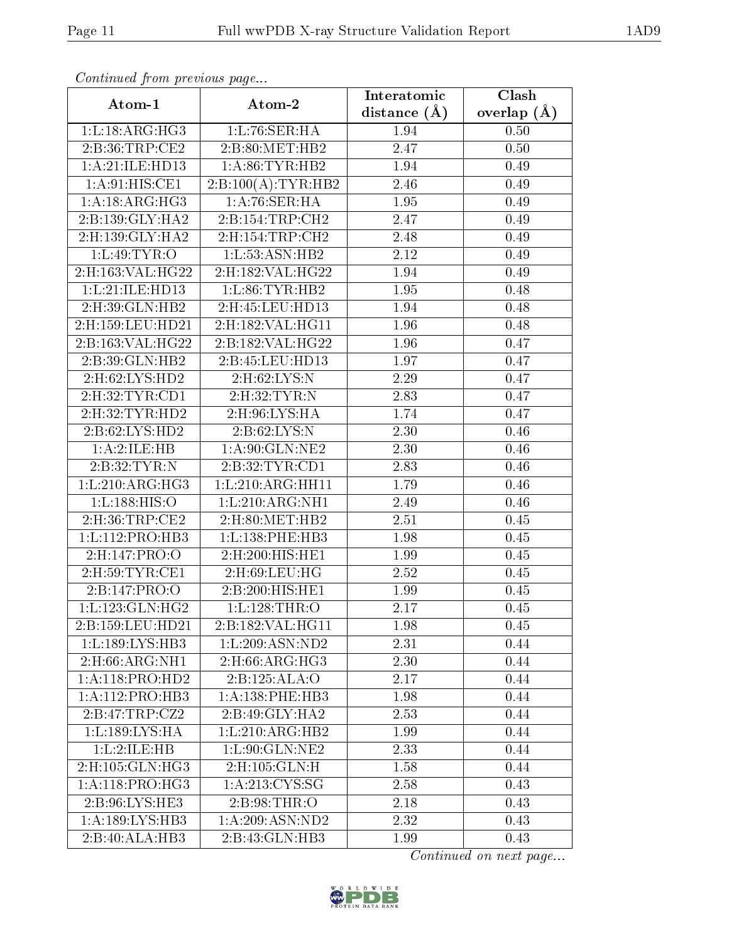| Comunaca jiom previous page    |                              | Interatomic    | Clash         |
|--------------------------------|------------------------------|----------------|---------------|
| Atom-1                         | Atom-2                       | distance $(A)$ | overlap $(A)$ |
| 1: L: 18: ARG: HG3             | 1: L:76: SER:HA              | 1.94           | 0.50          |
| 2:B:36:TRP:CE2                 | 2:B:80:MET:HB2               | 2.47           | 0.50          |
| 1:A:21:ILE:HDI3                | 1: A:86: TYR:HB2             | 1.94           | 0.49          |
| 1: A:91: HIS: CE1              | 2:B:100(A):TYR:HB2           | 2.46           | 0.49          |
| 1:A:18:ARG:HG3                 | 1:A:76:SER:HA                | 1.95           | 0.49          |
| 2:B:139:GLY:HA2                | 2:B:154:TRP:CH2              | 2.47           | 0.49          |
| 2:H:139:GLY:HA2                | 2: H: 154: TRP: CH2          | 2.48           | 0.49          |
| 1: L:49: TYR:O                 | 1: L: 53: ASN: HB2           | 2.12           | 0.49          |
| $2:$ H:163:VAL:HG22            | 2:H:182:VAL:HG22             | 1.94           | 0.49          |
| 1:L:21:ILE:HD13                | 1: L:86: TYR:HB2             | 1.95           | 0.48          |
| 2:H:39:GLN:HB2                 | 2:H:45:LEU:HD13              | 1.94           | 0.48          |
| $2:$ H:159:LEU:HD21            | 2:H:182:VAL:HG11             | 1.96           | 0.48          |
| 2:B:163:VAL:HG22               | 2:B:182:VAL:HG22             | 1.96           | 0.47          |
| 2:B:39:GLN:HB2                 | 2:B:45:LEU:HD13              | 1.97           | 0.47          |
| 2:H:62:LYS:HD2                 | 2:H:62:LYS:N                 | 2.29           | 0.47          |
| $2:$ H:32:TYR:CD1              | 2:H:32:TYR:N                 | 2.83           | 0.47          |
| 2:H:32:TYR:HD2                 | 2:H:96:LYS:HA                | 1.74           | 0.47          |
| 2:B:62:LYS:HD2                 | 2:B:62:LYS:N                 | 2.30           | 0.46          |
| 1: A:2: ILE: HB                | 1:A:90:GLN:NE2               | 2.30           | 0.46          |
| 2:B:32:TYR:N                   | 2:B:32:TYR:CD1               | 2.83           | 0.46          |
| 1: L:210: ARG:HG3              | 1: L:210: ARG:HH11           | 1.79           | 0.46          |
| 1: L: 188: HIS: O              | 1: L:210: ARG: NH1           | 2.49           | 0.46          |
| 2:H:36:TRP:CE2                 | 2:H:80:MET:HB2               | 2.51           | 0.45          |
| 1:L:112:PRO:HB3                | 1:L:138:PHE:HB3              | 1.98           | 0.45          |
| 2: H: 147: PRO: O              | 2:H:200:HIS:HE1              | 1.99           | 0.45          |
| $2:$ H:59:TYR:CE1              | 2:H:69:LEU:HG                | 2.52           | 0.45          |
| 2:B:147:PRO:O                  | 2:B:200:HIS:HE1              | 1.99           | 0.45          |
| 1: L: 123: GLN: HG2            | 1: L: 128: THR:O             | 2.17           | 0.45          |
| 2:B:159:LEU:HD21               | 2:B:182:VAL:HG11             | 1.98           | 0.45          |
| 1:L:189:LYS:HB3                | 1:L:209:ASN:ND2              | 2.31           | 0.44          |
| $2: H:66: ARG: \overline{NH1}$ | 2: H:66: ARG: HG3            | 2.30           | 0.44          |
| 1:A:118:PRO:HD2                | 2:B:125:ALA:O                | 2.17           | 0.44          |
| 1:A:112:PRO:HB3                | 1: A: 138: PHE: HB3          | 1.98           | 0.44          |
| 2:B:47:TRP:CZ2                 | 2:B:49:GLY:HA2               | 2.53           | 0.44          |
| 1: L: 189: LYS: HA             | $1:L:210:ARG:H\overline{B2}$ | 1.99           | 0.44          |
| 1: L:2: ILE: HB                | 1:L:90:GLN:NE2               | 2.33           | 0.44          |
| 2: H: 105: GLN: HG3            | 2:H:105:GLN:H                | 1.58           | 0.44          |
| 1: A:118: PRO:HG3              | 1: A:213: CYS:SG             | 2.58           | 0.43          |
| 2:B:96:LYS:HE3                 | 2: B:98:THR:O                | 2.18           | 0.43          |
| 1: A: 189: LYS: HB3            | 1:A:209:ASN:ND2              | 2.32           | 0.43          |
| 2:B:40:ALA:HB3                 | 2:B:43:GLN:HB3               | 1.99           | 0.43          |

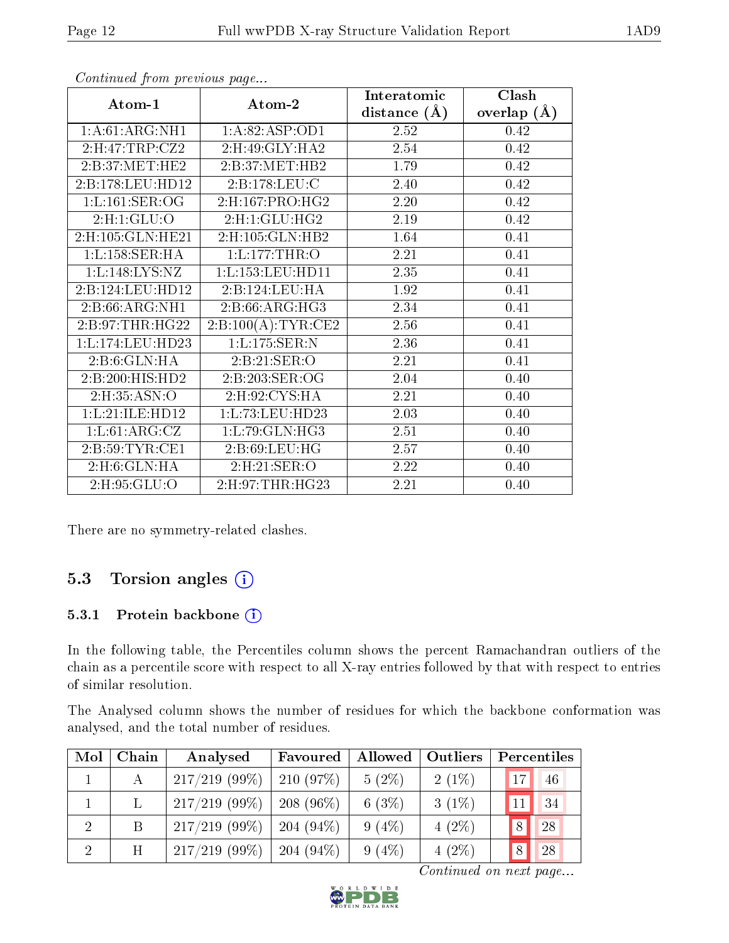|                    |                     | Interatomic    | Clash         |
|--------------------|---------------------|----------------|---------------|
| Atom-1             | Atom-2              | distance $(A)$ | overlap $(A)$ |
| 1: A:61: ARG:NH1   | 1:A:82:ASP:OD1      | 2.52           | 0.42          |
| 2:H:47:TRP:CZ2     | 2:H:49:GLY:HA2      | 2.54           | 0.42          |
| 2:B:37:MET:HE2     | 2:B:37:MET:HB2      | 1.79           | 0.42          |
| 2:B:178:LEU:HD12   | 2:B:178:LEU:C       | 2.40           | 0.42          |
| 1: L: 161: SER: OG | 2:H:167:PRO:HG2     | 2.20           | 0.42          |
| 2: H: 1: GLU: O    | 2: H:1: GLU: HG2    | 2.19           | 0.42          |
| 2:H:105:GLN:HE21   | 2: H: 105: GLN: HB2 | 1.64           | 0.41          |
| 1: L: 158: SER: HA | 1: L: 177: THR:O    | 2.21           | 0.41          |
| 1:L:148:LYS:NZ     | 1:L:153:LEU:HD11    | 2.35           | 0.41          |
| 2:B:124:LEU:HD12   | 2:B:124:LEU:HA      | 1.92           | 0.41          |
| 2:B:66:ARG:NH1     | 2:B:66:ARG:HG3      | 2.34           | 0.41          |
| 2:B:97:THR:HG22    | 2:B:100(A):TYR:CE2  | 2.56           | 0.41          |
| 1:L:174:LEU:HD23   | 1: L: 175: SER: N   | 2.36           | 0.41          |
| 2:B:6:GLN:HA       | 2:B:21:SER:O        | 2.21           | 0.41          |
| 2:B:200:HIS:HD2    | 2:B:203:SER:OG      | 2.04           | 0.40          |
| 2: H: 35: ASN: O   | 2: H: 92: CYS: HA   | 2.21           | 0.40          |
| 1:L:21:ILE:HD12    | 1:L:73:LEU:HD23     | 2.03           | 0.40          |
| 1: L:61: ARG: CZ   | 1:L:79:GLN:HG3      | 2.51           | 0.40          |
| 2:B:59:TYR:CE1     | 2: B:69: LEU: HG    | 2.57           | 0.40          |
| 2: H:6: GLN: HA    | 2: H:21: SER:O      | 2.22           | 0.40          |
| 2:H:95:GLU:O       | 2: H:97: THR: HG23  | 2.21           | 0.40          |

There are no symmetry-related clashes.

## 5.3 Torsion angles (i)

#### 5.3.1 Protein backbone (i)

In the following table, the Percentiles column shows the percent Ramachandran outliers of the chain as a percentile score with respect to all X-ray entries followed by that with respect to entries of similar resolution.

The Analysed column shows the number of residues for which the backbone conformation was analysed, and the total number of residues.

| Mol | Chain | Analysed         | Favoured     | Allowed  | Outliers | Percentiles |    |
|-----|-------|------------------|--------------|----------|----------|-------------|----|
|     | А     | $217/219$ (99%)  | 210(97%)     | $5(2\%)$ | $2(1\%)$ | 17          | 46 |
|     |       | $217/219$ (99\%) | $208(96\%)$  | 6(3%)    | $3(1\%)$ | 11          | 34 |
| റ   | B     | $217/219$ (99\%) | 204 $(94\%)$ | $9(4\%)$ | $4(2\%)$ | 28<br>8     |    |
| 2   | H     | $217/219$ (99\%) | 204 $(94\%)$ | $9(4\%)$ | $4(2\%)$ | 28<br>8     |    |

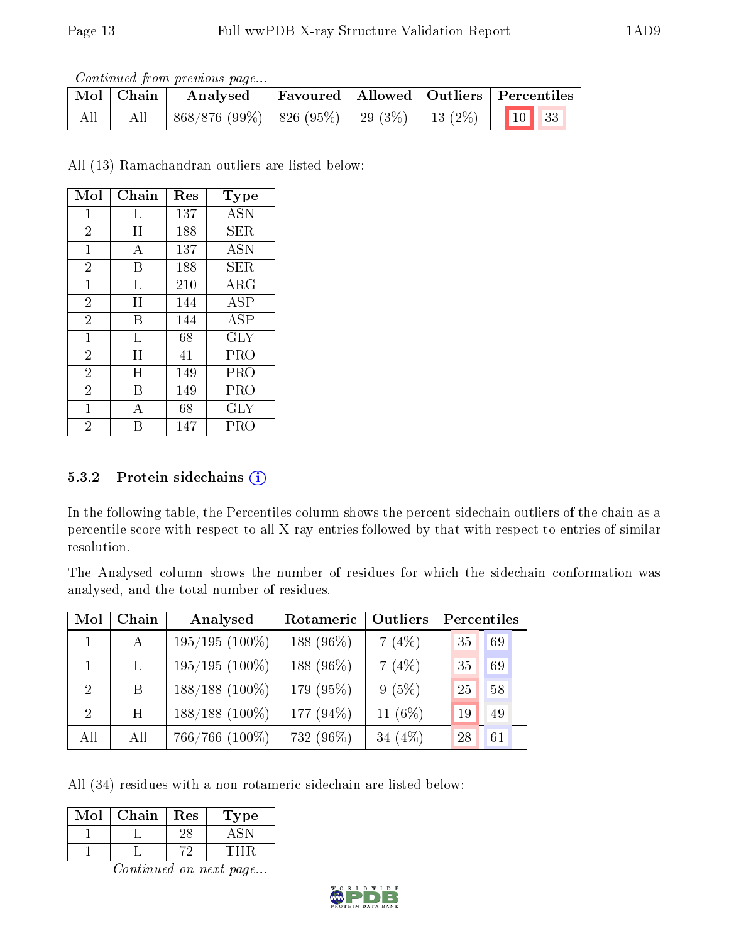Continued from previous page...

|     | $\begin{array}{ c c c }\hline \textbf{Mol} & \textbf{Chain} & \textbf{Analysed} \\\hline \end{array}$ |  | Favoured   Allowed   Outliers   Percentiles |
|-----|-------------------------------------------------------------------------------------------------------|--|---------------------------------------------|
| All | $\mid 868/876 (99\%) \mid 826 (95\%) \mid 29 (3\%) \mid 13 (2\%) \mid 10$ 33                          |  |                                             |

All (13) Ramachandran outliers are listed below:

| Mol            | Chain     | Res | $_{\rm Type}$ |
|----------------|-----------|-----|---------------|
| 1              | L         | 137 | <b>ASN</b>    |
| $\overline{2}$ | $H_{\rm}$ | 188 | SER           |
| $\mathbf{1}$   | А         | 137 | ASN           |
| $\overline{2}$ | B         | 188 | SER.          |
| $\mathbf{1}$   | L         | 210 | $\rm{ARG}$    |
| $\overline{2}$ | H         | 144 | ASP           |
| $\overline{2}$ | В         | 144 | <b>ASP</b>    |
| $\mathbf{1}$   | L         | 68  | GLY           |
| $\overline{2}$ | Η         | 41  | PRO           |
| $\overline{2}$ | H         | 149 | PRO           |
| $\overline{2}$ | В         | 149 | PRO           |
| 1              | Α         | 68  | GLY           |
| $\overline{2}$ |           | 147 | PRC           |

#### 5.3.2 Protein sidechains  $(i)$

In the following table, the Percentiles column shows the percent sidechain outliers of the chain as a percentile score with respect to all X-ray entries followed by that with respect to entries of similar resolution.

The Analysed column shows the number of residues for which the sidechain conformation was analysed, and the total number of residues.

| Mol           | Chain        | Analysed            | Rotameric | Outliers  | Percentiles |    |
|---------------|--------------|---------------------|-----------|-----------|-------------|----|
|               | $\mathbf{A}$ | $195/195(100\%)$    | 188 (96%) | 7(4%)     | 35          | 69 |
|               | $\mathbf{L}$ | $195/195(100\%)$    | 188 (96%) | 7(4%)     | 35          | 69 |
| $2^{\circ}$   | B            | $188/188$ (100%)    | 179 (95%) | 9(5%)     | 25          | 58 |
| $\mathcal{D}$ | H            | $188/188$ (100\%)   | 177 (94%) | 11 $(6%)$ | 19          | 49 |
| All           | All          | $766/766$ $(100\%)$ | 732 (96%) | 34 $(4%)$ | 28          | 61 |

All (34) residues with a non-rotameric sidechain are listed below:

| Mol | Chain | Res | 'ype |
|-----|-------|-----|------|
|     |       |     |      |
|     |       |     |      |

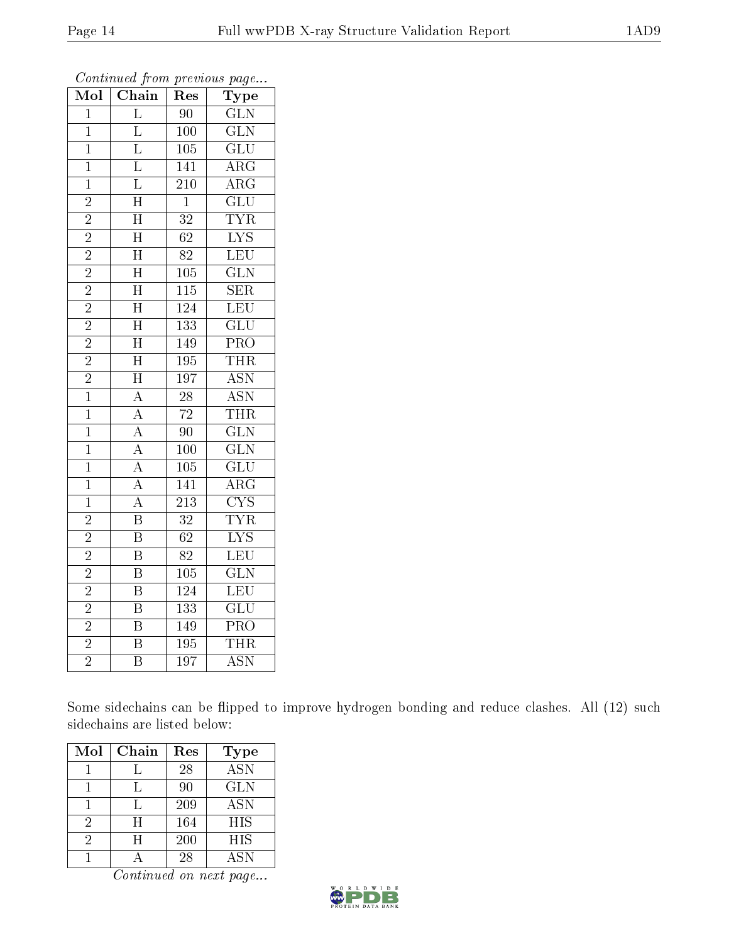| $\overline{\text{Mol}}$ | Chain                   | Res              | Type                      |
|-------------------------|-------------------------|------------------|---------------------------|
| $\overline{1}$          | $\overline{\mathrm{L}}$ | 90               | $\overline{\text{GLN}}$   |
| $\overline{1}$          | $\overline{\mathrm{L}}$ | 100              | $\overline{\text{GLN}}$   |
| $\overline{1}$          | $\overline{\mathrm{L}}$ | $\overline{105}$ | $\overline{\text{GLU}}$   |
| $\mathbf{1}$            | $\overline{\mathrm{L}}$ | 141              | $\overline{\rm{ARG}}$     |
| $\overline{1}$          | $\overline{\mathrm{L}}$ | $\overline{210}$ | $\overline{\rm{ARG}}$     |
| $\overline{2}$          | $\overline{\rm H}$      | $\mathbf{1}$     | $\overline{\text{GLU}}$   |
| $\overline{2}$          | $\overline{\rm H}$      | 32               | <b>TYR</b>                |
| $\overline{2}$          | $\overline{\rm H}$      | $\overline{62}$  | $\overline{\text{LYS}}$   |
| $\overline{2}$          | $\overline{\rm H}$      | $\overline{82}$  | $\overline{\text{LEU}}$   |
| $\overline{2}$          | $\overline{H}$          | $\overline{105}$ | $\overline{\text{GLN}}$   |
| $\overline{2}$          | $\overline{\rm H}$      | $\overline{115}$ | SER                       |
| $\overline{2}$          | $\overline{\rm H}$      | 124              | $\overline{\text{LEU}}$   |
| $\overline{2}$          | $\overline{\rm H}$      | 133              | $\overline{\text{GLU}}$   |
| $\overline{2}$          | $\overline{\rm H}$      | 149              | PRO                       |
| $\overline{2}$          | $\overline{\rm H}$      | 195              | <b>THR</b>                |
| $\overline{2}$          | $\overline{\rm H}$      | $\overline{197}$ | $\overline{\mathrm{ASN}}$ |
| $\overline{1}$          | $\overline{A}$          | $\overline{28}$  | $\overline{\mathrm{ASN}}$ |
| $\overline{1}$          | $\overline{A}$          | $\overline{72}$  | <b>THR</b>                |
| $\mathbf{1}$            | $\overline{A}$          | 90               | $\overline{\text{GLN}}$   |
| $\overline{1}$          | $\overline{A}$          | 100              | $\overline{\text{GLN}}$   |
| $\mathbf{1}$            | $\overline{A}$          | 105              | $\overline{\text{GLU}}$   |
| $\overline{1}$          | $\overline{A}$          | 141              | $\overline{\rm{ARG}}$     |
| $\mathbf 1$             | $\overline{A}$          | $\overline{213}$ | $\overline{\text{CYS}}$   |
| $\overline{2}$          | $\overline{\mathrm{B}}$ | $\overline{32}$  | <b>TYR</b>                |
| $\overline{2}$          | $\overline{\mathrm{B}}$ | $\overline{62}$  | $\overline{\text{LYS}}$   |
| $\overline{c}$          | $\overline{\mathrm{B}}$ | 82               | $\overline{\text{LEU}}$   |
| $\overline{2}$          | $\overline{\mathrm{B}}$ | $\overline{10}5$ | $\overline{\text{GLN}}$   |
| $\overline{2}$          | $\overline{\text{B}}$   | $\overline{124}$ | $\overline{\text{LEU}}$   |
| $\overline{2}$          | $\overline{\mathrm{B}}$ | $\overline{133}$ | $\overline{\text{GLU}}$   |
| $\frac{2}{2}$           | $\overline{\mathrm{B}}$ | 149              | $\overline{\text{PRO}}$   |
|                         | $\overline{\mathrm{B}}$ | $\overline{195}$ | <b>THR</b>                |
| $\overline{2}$          | $\overline{\mathrm{B}}$ | $\overline{197}$ | <b>ASN</b>                |

Some sidechains can be flipped to improve hydrogen bonding and reduce clashes. All (12) such sidechains are listed below:

| Mol | Chain | Res | <b>Type</b> |
|-----|-------|-----|-------------|
|     |       | 28  | <b>ASN</b>  |
|     |       | 90  | <b>GLN</b>  |
|     |       | 209 | ASN         |
| 2   | H     | 164 | <b>HIS</b>  |
| 2   | H     | 200 | HIS         |
|     |       | 28  | <b>ASN</b>  |

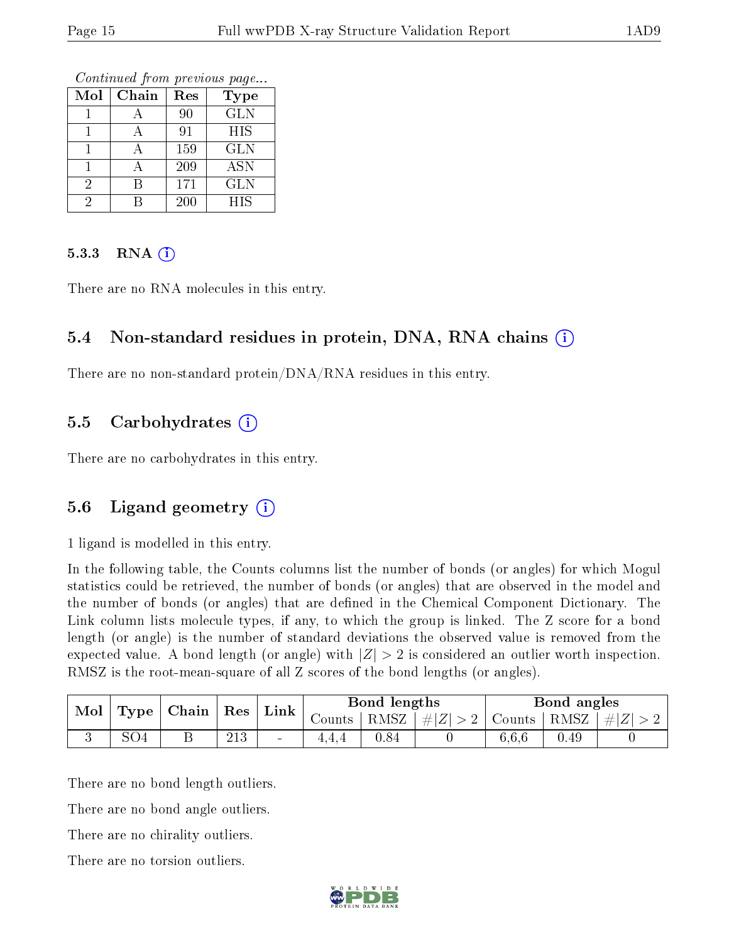Continued from previous page...

| Mol | Chain | Res | <b>Type</b> |
|-----|-------|-----|-------------|
|     |       | 90  | <b>GLN</b>  |
|     | А     | 91  | HIS         |
|     |       | 159 | <b>GLN</b>  |
|     |       | 209 | ASN         |
|     |       | 171 | <b>GLN</b>  |
|     |       | 200 | HIS         |

#### 5.3.3 RNA  $(i)$

There are no RNA molecules in this entry.

#### 5.4 Non-standard residues in protein, DNA, RNA chains (i)

There are no non-standard protein/DNA/RNA residues in this entry.

#### 5.5 Carbohydrates  $(i)$

There are no carbohydrates in this entry.

#### 5.6 Ligand geometry (i)

1 ligand is modelled in this entry.

In the following table, the Counts columns list the number of bonds (or angles) for which Mogul statistics could be retrieved, the number of bonds (or angles) that are observed in the model and the number of bonds (or angles) that are defined in the Chemical Component Dictionary. The Link column lists molecule types, if any, to which the group is linked. The Z score for a bond length (or angle) is the number of standard deviations the observed value is removed from the expected value. A bond length (or angle) with  $|Z| > 2$  is considered an outlier worth inspection. RMSZ is the root-mean-square of all Z scores of the bond lengths (or angles).

| Mol<br>Type |                 | $\mid$ Chain $\mid$ Res |            | Link           | Bond lengths        |              |                                                                                | Bond angles |      |         |
|-------------|-----------------|-------------------------|------------|----------------|---------------------|--------------|--------------------------------------------------------------------------------|-------------|------|---------|
|             |                 |                         |            |                | Counts <sup>1</sup> | $+$ RMSZ $+$ | $\left  \frac{1}{2}  Z  > 2 \right $ Counts $\left  \frac{RMSZ}{RMSZ} \right $ |             |      | $\# Z $ |
|             | SO <sub>4</sub> | ົ                       | 019<br>∠⊥∪ | $\blacksquare$ |                     | 0.84         |                                                                                | 6,6,6       | 0.49 |         |

There are no bond length outliers.

There are no bond angle outliers.

There are no chirality outliers.

There are no torsion outliers.

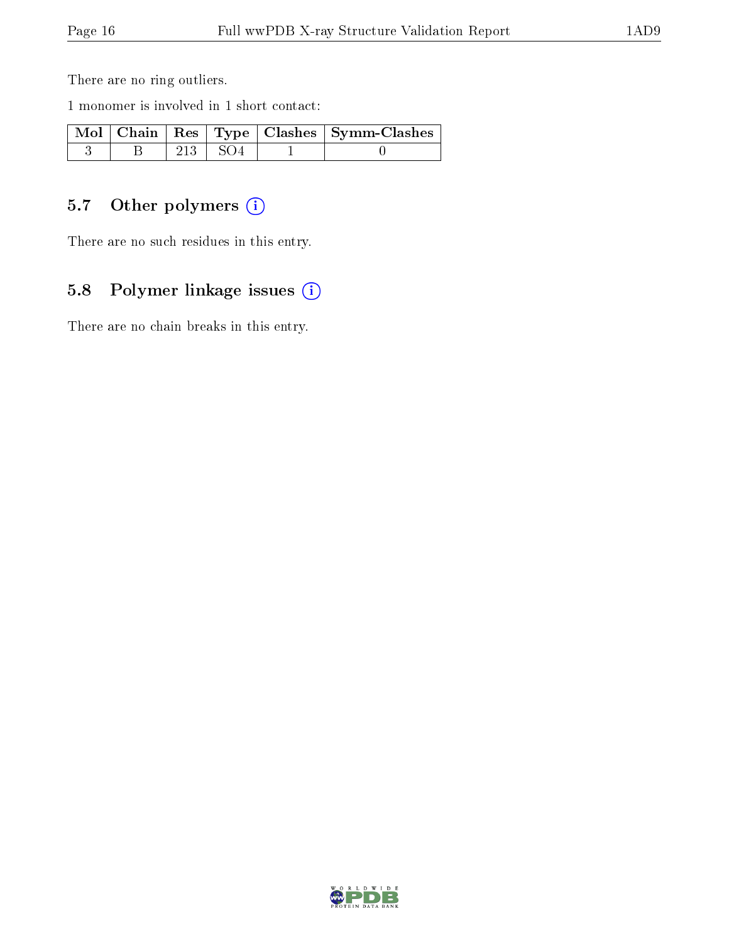There are no ring outliers.

1 monomer is involved in 1 short contact:

|  |             | Mol   Chain   Res   Type   Clashes   Symm-Clashes |
|--|-------------|---------------------------------------------------|
|  | $213$   SO4 |                                                   |

## 5.7 [O](https://www.wwpdb.org/validation/2017/XrayValidationReportHelp#nonstandard_residues_and_ligands)ther polymers (i)

There are no such residues in this entry.

## 5.8 Polymer linkage issues (i)

There are no chain breaks in this entry.

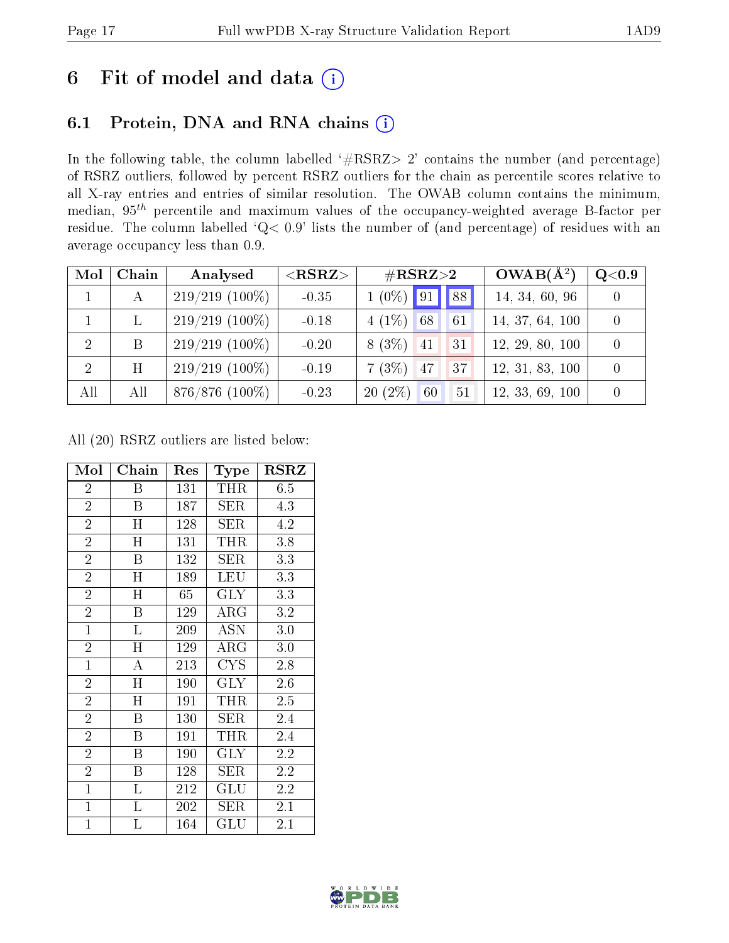## 6 Fit of model and data  $(i)$

## 6.1 Protein, DNA and RNA chains  $(i)$

In the following table, the column labelled  $#RSRZ> 2'$  contains the number (and percentage) of RSRZ outliers, followed by percent RSRZ outliers for the chain as percentile scores relative to all X-ray entries and entries of similar resolution. The OWAB column contains the minimum, median,  $95<sup>th</sup>$  percentile and maximum values of the occupancy-weighted average B-factor per residue. The column labelled ' $Q< 0.9$ ' lists the number of (and percentage) of residues with an average occupancy less than 0.9.

| Mol            | Chain | Analysed         | $<$ RSRZ $>$<br>$\rm \#RSRZ{>}2$ |                       | $OWAB(A^2)$     | Q <sub>0.9</sub> |
|----------------|-------|------------------|----------------------------------|-----------------------|-----------------|------------------|
|                | A     | $219/219(100\%)$ | $-0.35$                          | $1(0\%)$ 91 88        | 14, 34, 60, 96  |                  |
|                |       | $219/219(100\%)$ | $-0.18$                          | $4(1\%)$<br>68<br>61  | 14, 37, 64, 100 |                  |
| $\overline{2}$ | B     | $219/219$ (100%) | $-0.20$                          | $8(3\%)$<br>31<br> 41 | 12, 29, 80, 100 |                  |
| $\overline{2}$ | Η     | $219/219(100\%)$ | $-0.19$                          | 7(3%)<br>47<br>37     | 12, 31, 83, 100 |                  |
| All            | All   | $876/876$ (100%) | $-0.23$                          | $20(2\%)$<br>60<br>51 | 12, 33, 69, 100 |                  |

All (20) RSRZ outliers are listed below:

| Mol            | ${\bf Chain}$             | Type<br>Res |                         | $_{\rm RSRZ}$ |
|----------------|---------------------------|-------------|-------------------------|---------------|
| $\overline{2}$ | Β                         | 131         | THR                     | 6.5           |
| $\overline{2}$ | B                         | 187         | <b>SER</b>              | 4.3           |
| $\overline{2}$ | $\overline{\rm H}$        | 128         | $\overline{\text{SER}}$ | 4.2           |
| $\overline{2}$ | H                         | 131         | THR                     | 3.8           |
| $\overline{2}$ | $\overline{\mathrm{B}}$   | 132         | ${\rm SER}$             | 3.3           |
| $\overline{2}$ | Η                         | 189         | LEU                     | 3.3           |
| $\overline{2}$ | $\mathbf H$               | 65          | <b>GLY</b>              | 3.3           |
| $\overline{2}$ | B                         | 129         | $\rm{ARG}$              | 3.2           |
| $\mathbf{1}$   | $\Gamma$                  | 209         | <b>ASN</b>              | 3.0           |
| $\overline{2}$ | $\mathbf H$               | 129         | ${\rm ARG}$             | 3.0           |
| $\mathbf{1}$   | $\boldsymbol{A}$          | 213         | <b>CYS</b>              | 2.8           |
| $\overline{2}$ | $\overline{\rm H}$        | 190         | $\overline{\text{GLY}}$ | 2.6           |
| $\overline{2}$ | $\boldsymbol{\mathrm{H}}$ | 191         | THR                     | 2.5           |
| $\overline{2}$ | $\boldsymbol{B}$          | 130         | ${\rm SER}$             | 2.4           |
| $\overline{2}$ | B                         | 191         | THR                     | 2.4           |
| $\overline{2}$ | $\overline{B}$            | 190         | GLY                     | 2.2           |
| $\overline{2}$ | B                         | 128         | $\rm{SER}$              | 2.2           |
| $\mathbf{1}$   | L                         | 212         | GLU                     | 2.2           |
| $\mathbf{1}$   | L                         | 202         | ${\rm SER}$             | 2.1           |
| $\mathbf{1}$   | L                         | 164         | $\operatorname{GLU}$    | 2.1           |